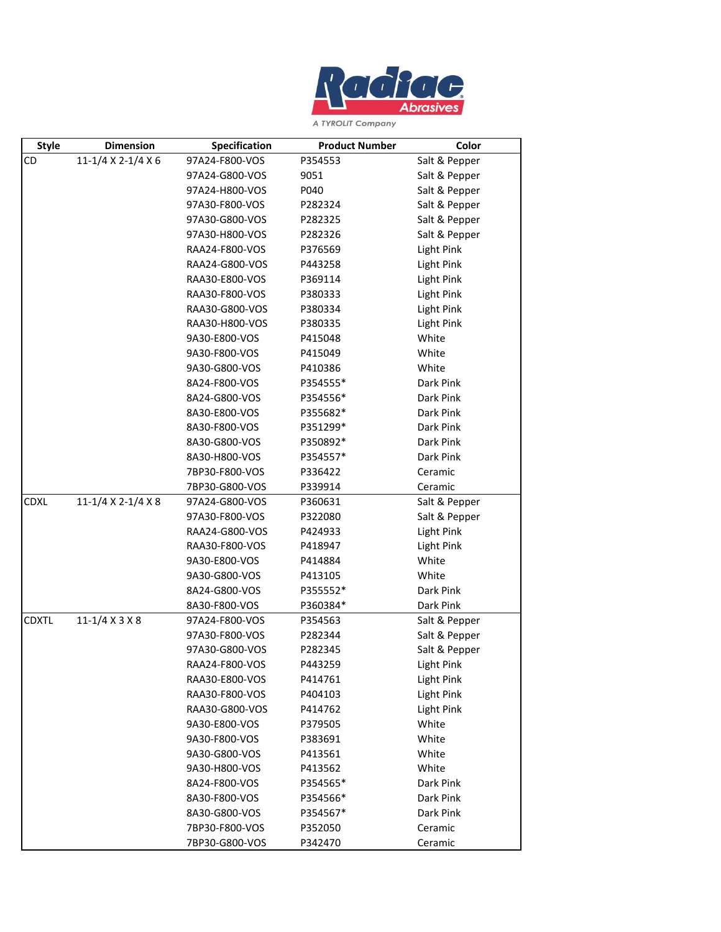

A TYROLIT Company

| <b>Style</b> | <b>Dimension</b>   | Specification  | <b>Product Number</b> | Color             |
|--------------|--------------------|----------------|-----------------------|-------------------|
| CD           | 11-1/4 X 2-1/4 X 6 | 97A24-F800-VOS | P354553               | Salt & Pepper     |
|              |                    | 97A24-G800-VOS | 9051                  | Salt & Pepper     |
|              |                    | 97A24-H800-VOS | P040                  | Salt & Pepper     |
|              |                    | 97A30-F800-VOS | P282324               | Salt & Pepper     |
|              |                    | 97A30-G800-VOS | P282325               | Salt & Pepper     |
|              |                    | 97A30-H800-VOS | P282326               | Salt & Pepper     |
|              |                    | RAA24-F800-VOS | P376569               | Light Pink        |
|              |                    | RAA24-G800-VOS | P443258               | <b>Light Pink</b> |
|              |                    | RAA30-E800-VOS | P369114               | <b>Light Pink</b> |
|              |                    | RAA30-F800-VOS | P380333               | Light Pink        |
|              |                    | RAA30-G800-VOS | P380334               | Light Pink        |
|              |                    | RAA30-H800-VOS | P380335               | Light Pink        |
|              |                    | 9A30-E800-VOS  | P415048               | White             |
|              |                    | 9A30-F800-VOS  | P415049               | White             |
|              |                    | 9A30-G800-VOS  | P410386               | White             |
|              |                    | 8A24-F800-VOS  | P354555*              | Dark Pink         |
|              |                    | 8A24-G800-VOS  | P354556*              | Dark Pink         |
|              |                    | 8A30-E800-VOS  | P355682*              | Dark Pink         |
|              |                    | 8A30-F800-VOS  | P351299*              | Dark Pink         |
|              |                    | 8A30-G800-VOS  | P350892*              | Dark Pink         |
|              |                    | 8A30-H800-VOS  | P354557*              | Dark Pink         |
|              |                    | 7BP30-F800-VOS | P336422               | Ceramic           |
|              |                    | 7BP30-G800-VOS | P339914               | Ceramic           |
| <b>CDXL</b>  | 11-1/4 X 2-1/4 X 8 | 97A24-G800-VOS | P360631               | Salt & Pepper     |
|              |                    | 97A30-F800-VOS | P322080               | Salt & Pepper     |
|              |                    | RAA24-G800-VOS | P424933               | Light Pink        |
|              |                    | RAA30-F800-VOS | P418947               | Light Pink        |
|              |                    | 9A30-E800-VOS  | P414884               | White             |
|              |                    | 9A30-G800-VOS  | P413105               | White             |
|              |                    | 8A24-G800-VOS  | P355552*              | Dark Pink         |
|              |                    | 8A30-F800-VOS  | P360384*              | Dark Pink         |
| <b>CDXTL</b> | 11-1/4 X 3 X 8     | 97A24-F800-VOS | P354563               | Salt & Pepper     |
|              |                    | 97A30-F800-VOS | P282344               | Salt & Pepper     |
|              |                    | 97A30-G800-VOS | P282345               | Salt & Pepper     |
|              |                    | RAA24-F800-VOS | P443259               | Light Pink        |
|              |                    | RAA30-E800-VOS | P414761               | Light Pink        |
|              |                    | RAA30-F800-VOS | P404103               | Light Pink        |
|              |                    | RAA30-G800-VOS | P414762               | Light Pink        |
|              |                    | 9A30-E800-VOS  | P379505               | White             |
|              |                    | 9A30-F800-VOS  | P383691               | White             |
|              |                    | 9A30-G800-VOS  | P413561               | White             |
|              |                    | 9A30-H800-VOS  | P413562               | White             |
|              |                    | 8A24-F800-VOS  | P354565*              | Dark Pink         |
|              |                    | 8A30-F800-VOS  | P354566*              | Dark Pink         |
|              |                    | 8A30-G800-VOS  | P354567*              | Dark Pink         |
|              |                    | 7BP30-F800-VOS | P352050               | Ceramic           |
|              |                    | 7BP30-G800-VOS | P342470               | Ceramic           |